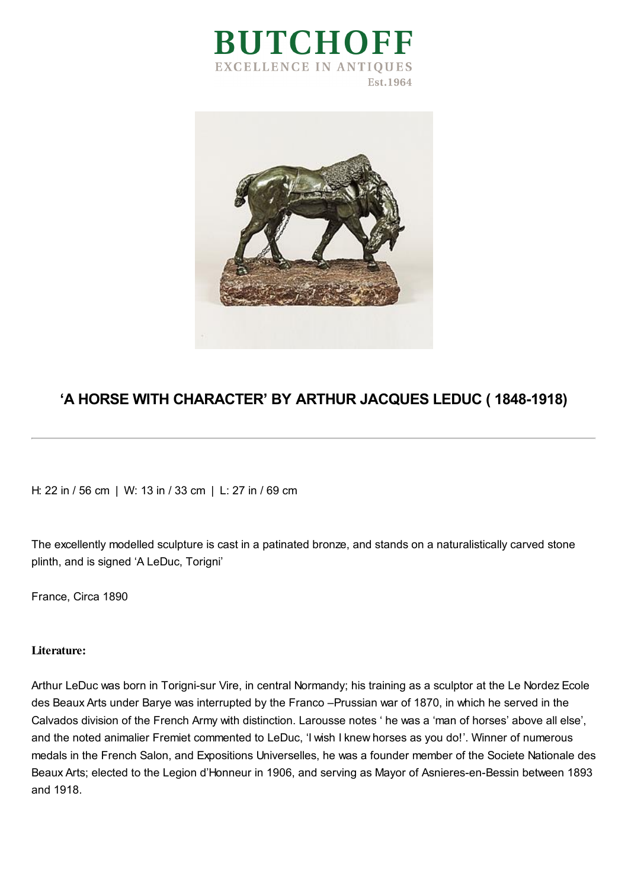



## **'A HORSE WITH CHARACTER' BY ARTHUR JACQUES LEDUC ( 1848-1918)**

H: 22 in / 56 cm | W: 13 in / 33 cm | L: 27 in / 69 cm

The excellently modelled sculpture is cast in a patinated bronze, and stands on a naturalistically carved stone plinth, and is signed 'A LeDuc, Torigni'

France, Circa 1890

## **Literature:**

Arthur LeDuc was born in Torigni-sur Vire, in central Normandy; his training as a sculptor at the Le Nordez Ecole des Beaux Arts under Barye was interrupted by the Franco –Prussian war of 1870, in which he served in the Calvados division of the French Army with distinction. Larousse notes ' he was a 'man of horses' above all else', and the noted animalier Fremiet commented to LeDuc, 'I wish I knew horses as you do!'. Winner of numerous medals in the French Salon, and Expositions Universelles, he was a founder member of the Societe Nationale des Beaux Arts; elected to the Legion d'Honneur in 1906, and serving as Mayor of Asnieres-en-Bessin between 1893 and 1918.